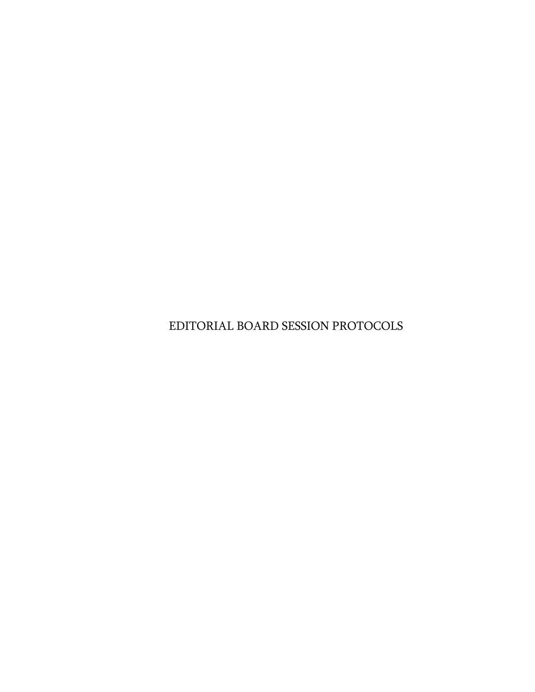EDITORIAL BOARD SESSION PROTOCOLS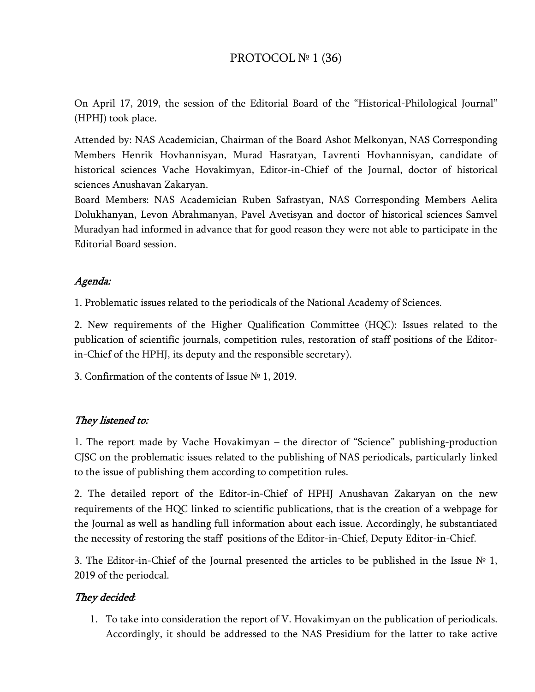# PROTOCOL № 1 (36)

On April 17, 2019, the session of the Editorial Board of the "Historical-Philological Journal" (HPHJ) took place.

Attended by: NAS Academician, Chairman of the Board Ashot Melkonyan, NAS Corresponding Members Henrik Hovhannisyan, Murad Hasratyan, Lavrenti Hovhannisyan, candidate of historical sciences Vache Hovakimyan, Editor-in-Chief of the Journal, doctor of historical sciences Anushavan Zakaryan.

Board Members: NAS Academician Ruben Safrastyan, NAS Corresponding Members Aelita Dolukhanyan, Levon Abrahmanyan, Pavel Avetisyan and doctor of historical sciences Samvel Muradyan had informed in advance that for good reason they were not able to participate in the Editorial Board session.

# Agenda:

1. Problematic issues related to the periodicals of the National Academy of Sciences.

2. New requirements of the Higher Qualification Committee (HQC): Issues related to the publication of scientific journals, competition rules, restoration of staff positions of the Editorin-Chief of the HPHJ, its deputy and the responsible secretary).

3. Confirmation of the contents of Issue № 1, 2019.

# They listened to:

1. The report made by Vache Hovakimyan – the director of "Science" publishing-production CJSC on the problematic issues related to the publishing of NAS periodicals, particularly linked to the issue of publishing them according to competition rules.

2. The detailed report of the Editor-in-Chief of HPHJ Anushavan Zakaryan on the new requirements of the HQC linked to scientific publications, that is the creation of a webpage for the Journal as well as handling full information about each issue. Accordingly, he substantiated the necessity of restoring the staff positions of the Editor-in-Chief, Deputy Editor-in-Chief.

3. The Editor-in-Chief of the Journal presented the articles to be published in the Issue  $N^{\circ}$  1, 2019 of the periodcal.

# They decided:

1. To take into consideration the report of V. Hovakimyan on the publication of periodicals. Accordingly, it should be addressed to the NAS Presidium for the latter to take active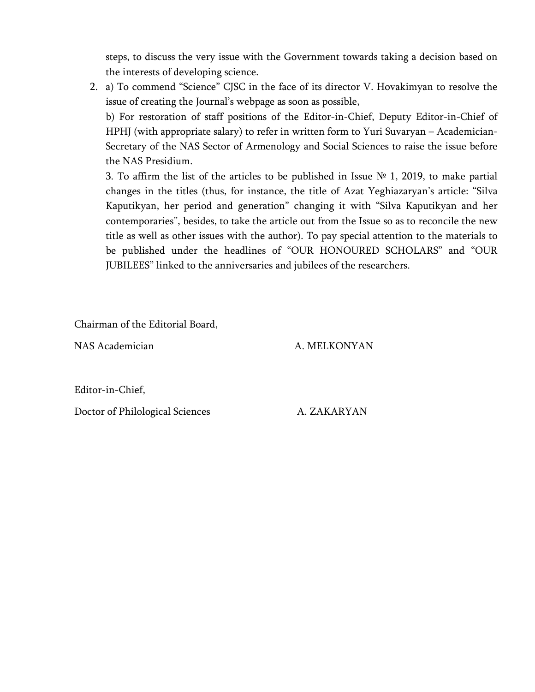steps, to discuss the very issue with the Government towards taking a decision based on the interests of developing science.

2. a) To commend "Science" CJSC in the face of its director V. Hovakimyan to resolve the issue of creating the Journal's webpage as soon as possible,

b) For restoration of staff positions of the Editor-in-Chief, Deputy Editor-in-Chief of HPHJ (with appropriate salary) to refer in written form to Yuri Suvaryan – Academician-Secretary of the NAS Sector of Armenology and Social Sciences to raise the issue before the NAS Presidium.

3. To affirm the list of the articles to be published in Issue  $N<sup>o</sup>$  1, 2019, to make partial changes in the titles (thus, for instance, the title of Azat Yeghiazaryan's article: "Silva Kaputikyan, her period and generation" changing it with "Silva Kaputikyan and her contemporaries", besides, to take the article out from the Issue so as to reconcile the new title as well as other issues with the author). To pay special attention to the materials to be published under the headlines of "OUR HONOURED SCHOLARS" and "OUR JUBILEES" linked to the anniversaries and jubilees of the researchers.

Chairman of the Editorial Board,

NAS Academician A. MELKONYAN

Editor-in-Chief,

Doctor of Philological Sciences A. ZAKARYAN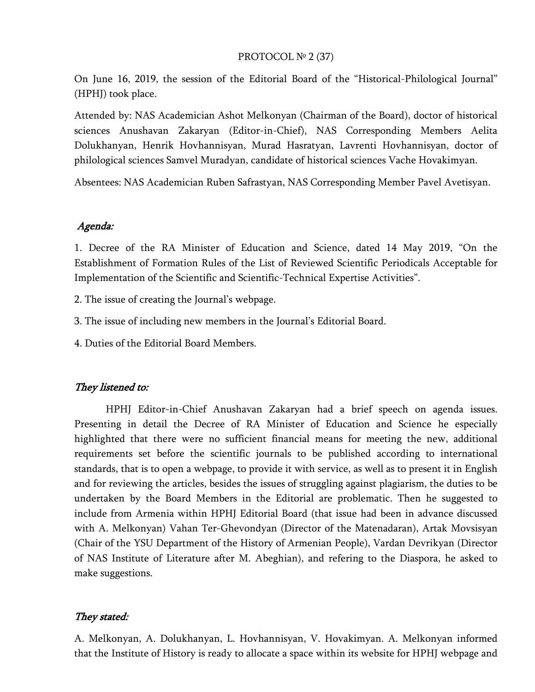#### PROTOCOL № 2 (37)

On June 16, 2019, the session of the Editorial Board of the "Historical-Philological Journal" (HPHJ) took place.

Attended by: NAS Academician Ashot Melkonyan (Chairman of the Board), doctor of historical sciences Anushavan Zakaryan (Editor-in-Chief), NAS Corresponding Members Aelita Dolukhanyan, Henrik Hovhannisyan, Murad Hasratyan, Lavrenti Hovhannisyan, doctor of philological sciences Samvel Muradyan, candidate of historical sciences Vache Hovakimyan.

Absentees: NAS Academician Ruben Safrastyan, NAS Corresponding Member Pavel Avetisyan.

#### Agenda:

1. Decree of the RA Minister of Education and Science, dated 14 May 2019, "On the Establishment of Formation Rules of the List of Reviewed Scientific Periodicals Acceptable for Implementation of the Scientific and Scientific-Technical Expertise Activities".

2. The issue of creating the Journal's webpage.

3. The issue of including new members in the Journal's Editorial Board.

4. Duties of the Editorial Board Members.

#### They listened to:

HPHJ Editor-in-Chief Anushavan Zakaryan had a brief speech on agenda issues. Presenting in detail the Decree of RA Minister of Education and Science he especially highlighted that there were no sufficient financial means for meeting the new, additional requirements set before the scientific journals to be published according to international standards, that is to open a webpage, to provide it with service, as well as to present it in English and for reviewing the articles, besides the issues of struggling against plagiarism, the duties to be undertaken by the Board Members in the Editorial are problematic. Then he suggested to include from Armenia within HPHJ Editorial Board (that issue had been in advance discussed with A. Melkonyan) Vahan Ter-Ghevondyan (Director of the Matenadaran), Artak Movsisyan (Chair of the YSU Department of the History of Armenian People), Vardan Devrikyan (Director of NAS Institute of Literature after M. Abeghian), and refering to the Diaspora, he asked to make suggestions.

#### They stated:

A. Melkonyan, A. Dolukhanyan, L. Hovhannisyan, V. Hovakimyan. A. Melkonyan informed that the Institute of History is ready to allocate a space within its website for HPHJ webpage and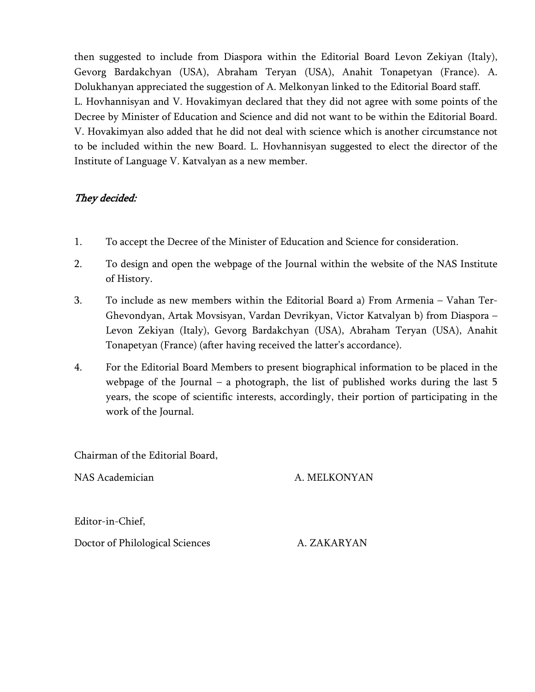then suggested to include from Diaspora within the Editorial Board Levon Zekiyan (Italy), Gevorg Bardakchyan (USA), Abraham Teryan (USA), Anahit Tonapetyan (France). A. Dolukhanyan appreciated the suggestion of A. Melkonyan linked to the Editorial Board staff. L. Hovhannisyan and V. Hovakimyan declared that they did not agree with some points of the Decree by Minister of Education and Science and did not want to be within the Editorial Board. V. Hovakimyan also added that he did not deal with science which is another circumstance not to be included within the new Board. L. Hovhannisyan suggested to elect the director of the Institute of Language V. Katvalyan as a new member.

# They decided:

- 1. To accept the Decree of the Minister of Education and Science for consideration.
- 2. To design and open the webpage of the Journal within the website of the NAS Institute of History.
- 3. To include as new members within the Editorial Board a) From Armenia Vahan Ter-Ghevondyan, Artak Movsisyan, Vardan Devrikyan, Victor Katvalyan b) from Diaspora – Levon Zekiyan (Italy), Gevorg Bardakchyan (USA), Abraham Teryan (USA), Anahit Tonapetyan (France) (after having received the latter's accordance).
- 4. For the Editorial Board Members to present biographical information to be placed in the webpage of the Journal – a photograph, the list of published works during the last 5 years, the scope of scientific interests, accordingly, their portion of participating in the work of the Journal.

Chairman of the Editorial Board,

NAS Academician and a metal and a MELKONYAN

Editor-in-Chief,

Doctor of Philological Sciences A. ZAKARYAN